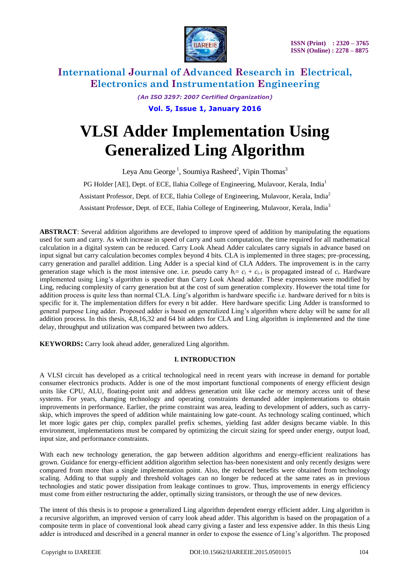

> *(An ISO 3297: 2007 Certified Organization)* **Vol. 5, Issue 1, January 2016**

# **VLSI Adder Implementation Using Generalized Ling Algorithm**

Leya Anu George<sup>1</sup>, Soumiya Rasheed<sup>2</sup>, Vipin Thomas<sup>3</sup> PG Holder [AE], Dept. of ECE, Ilahia College of Engineering, Mulavoor, Kerala, India<sup>1</sup> Assistant Professor, Dept. of ECE, Ilahia College of Engineering, Mulavoor, Kerala, India<sup>2</sup> Assistant Professor, Dept. of ECE, Ilahia College of Engineering, Mulavoor, Kerala, India<sup>3</sup>

**ABSTRACT**: Several addition algorithms are developed to improve speed of addition by manipulating the equations used for sum and carry. As with increase in speed of carry and sum computation, the time required for all mathematical calculation in a digital system can be reduced. Carry Look Ahead Adder calculates carry signals in advance based on input signal but carry calculation becomes complex beyond 4 bits. CLA is implemented in three stages; pre-processing, carry generation and parallel addition. Ling Adder is a special kind of CLA Adders. The improvement is in the carry generation stage which is the most intensive one. i.e. pseudo carry  $h_i = c_i + c_{i-1}$  is propagated instead of  $c_i$ . Hardware implemented using Ling's algorithm is speedier than Carry Look Ahead adder. These expressions were modified by Ling, reducing complexity of carry generation but at the cost of sum generation complexity. However the total time for addition process is quite less than normal CLA. Ling's algorithm is hardware specific i.e. hardware derived for n bits is specific for it. The implementation differs for every n bit adder. Here hardware specific Ling Adder is transformed to general purpose Ling adder. Proposed adder is based on generalized Ling's algorithm where delay will be same for all addition process. In this thesis, 4,8,16,32 and 64 bit adders for CLA and Ling algorithm is implemented and the time delay, throughput and utilization was compared between two adders.

**KEYWORDS:** Carry look ahead adder, generalized Ling algorithm.

## **I. INTRODUCTION**

A VLSI circuit has developed as a critical technological need in recent years with increase in demand for portable consumer electronics products. Adder is one of the most important functional components of energy efficient design units like CPU, ALU, floating-point unit and address generation unit like cache or memory access unit of these systems. For years, changing technology and operating constraints demanded adder implementations to obtain improvements in performance. Earlier, the prime constraint was area, leading to development of adders, such as carryskip, which improves the speed of addition while maintaining low gate-count. As technology scaling continued, which let more logic gates per chip, complex parallel prefix schemes, yielding fast adder designs became viable. In this environment, implementations must be compared by optimizing the circuit sizing for speed under energy, output load, input size, and performance constraints.

With each new technology generation, the gap between addition algorithms and energy-efficient realizations has grown. Guidance for energy-efficient addition algorithm selection has-been nonexistent and only recently designs were compared from more than a single implementation point. Also, the reduced benefits were obtained from technology scaling. Adding to that supply and threshold voltages can no longer be reduced at the same rates as in previous technologies and static power dissipation from leakage continues to grow. Thus, improvements in energy efficiency must come from either restructuring the adder, optimally sizing transistors, or through the use of new devices.

The intent of this thesis is to propose a generalized Ling algorithm dependent energy efficient adder. Ling algorithm is a recursive algorithm, an improved version of carry look ahead adder. This algorithm is based on the propagation of a composite term in place of conventional look ahead carry giving a faster and less expensive adder. In this thesis Ling adder is introduced and described in a general manner in order to expose the essence of Ling's algorithm. The proposed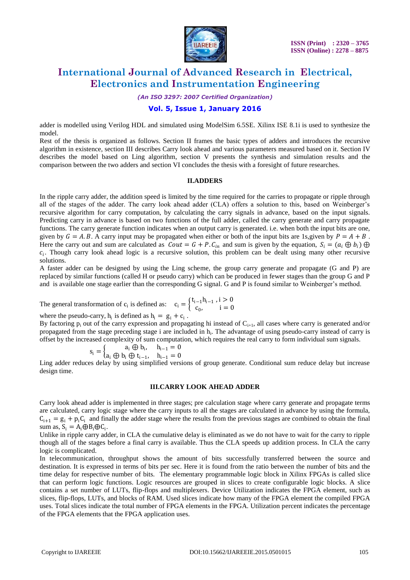

*(An ISO 3297: 2007 Certified Organization)*

## **Vol. 5, Issue 1, January 2016**

adder is modelled using Verilog HDL and simulated using ModelSim 6.5SE. Xilinx ISE 8.1i is used to synthesize the model.

Rest of the thesis is organized as follows. Section II frames the basic types of adders and introduces the recursive algorithm in existence, section III describes Carry look ahead and various parameters measured based on it. Section IV describes the model based on Ling algorithm, section V presents the synthesis and simulation results and the comparison between the two adders and section VI concludes the thesis with a foresight of future researches.

#### **II.ADDERS**

In the ripple carry adder, the addition speed is limited by the time required for the carries to propagate or ripple through all of the stages of the adder. The carry look ahead adder (CLA) offers a solution to this, based on Weinberger's recursive algorithm for carry computation, by calculating the carry signals in advance, based on the input signals. Predicting carry in advance is based on two functions of the full adder, called the carry generate and carry propagate functions. The carry generate function indicates when an output carry is generated. i.e. when both the input bits are one, given by  $G = A, B$ . A carry input may be propagated when either or both of the input bits are 1s, given by  $P = A + B$ . Here the carry out and sum are calculated as  $Cout = G + P.C_{in}$  and sum is given by the equation,  $S_i = (a_i \oplus b_i) \oplus$  $c_i$ . Though carry look ahead logic is a recursive solution, this problem can be dealt using many other recursive solutions.

A faster adder can be designed by using the Ling scheme, the group carry generate and propagate (G and P) are replaced by similar functions (called H or pseudo carry) which can be produced in fewer stages than the group G and P and is available one stage earlier than the corresponding G signal. G and P is found similar to Weinberger's method.

The general transformation of  $c_i$  is defined as:  $c_i = \begin{cases} t_{i-1}h_{i-1} & i > 0 \\ c_i & i = 0 \end{cases}$  $c_0$ ,  $i = 0$ 

where the pseudo-carry,  $h_i$  is defined as  $h_i = g_i + c_i$ .

By factoring  $p_i$  out of the carry expression and propagating hi instead of  $C_{i+1}$ , all cases where carry is generated and/or propagated from the stage preceding stage i are included in h<sub>i</sub>. The advantage of using pseudo-carry instead of carry is offset by the increased complexity of sum computation, which requires the real carry to form individual sum signals.

$$
s_i = \begin{cases} a_i \oplus b_i, & h_{i-1} = 0 \\ a_i \oplus b_i \oplus t_{i-1}, & h_{i-1} = 0 \end{cases}
$$

Ling adder reduces delay by using simplified versions of group generate. Conditional sum reduce delay but increase design time.

#### **III.CARRY LOOK AHEAD ADDER**

Carry look ahead adder is implemented in three stages; pre calculation stage where carry generate and propagate terms are calculated, carry logic stage where the carry inputs to all the stages are calculated in advance by using the formula,  $C_{i+1} = g_i + p_i C_i$  and finally the adder stage where the results from the previous stages are combined to obtain the final sum as,  $S_i = A_i \oplus B_i \oplus C_i$ .

Unlike in ripple carry adder, in CLA the cumulative delay is eliminated as we do not have to wait for the carry to ripple though all of the stages before a final carry is available. Thus the CLA speeds up addition process. In CLA the carry logic is complicated.

In telecommunication, throughput shows the amount of bits successfully transferred between the source and destination. It is expressed in terms of bits per sec. Here it is found from the ratio between the number of bits and the time delay for respective number of bits. The elementary programmable logic block in Xilinx FPGAs is called slice that can perform logic functions. Logic resources are grouped in slices to create configurable logic blocks. A slice contains a set number of LUTs, flip-flops and multiplexers. Device Utilization indicates the FPGA element, such as [slices, flip-flops, LUTs, and blocks of RAM.](http://zone.ni.com/reference/en-XX/help/371599G-01/lvfpgaconcepts/fpga_basic_chip_terms/) Used slices indicate how many of the FPGA element the compiled FPGA uses. Total slices indicate the total number of FPGA elements in the FPGA. Utilization percent indicates the percentage of the FPGA elements that the FPGA application uses.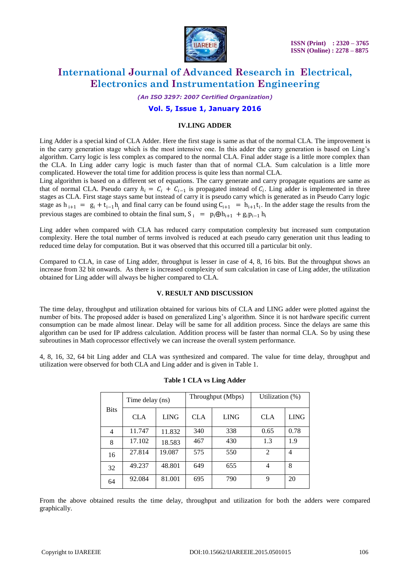

*(An ISO 3297: 2007 Certified Organization)*

## **Vol. 5, Issue 1, January 2016**

#### **IV.LING ADDER**

Ling Adder is a special kind of CLA Adder. Here the first stage is same as that of the normal CLA. The improvement is in the carry generation stage which is the most intensive one. In this adder the carry generation is based on Ling's algorithm. Carry logic is less complex as compared to the normal CLA. Final adder stage is a little more complex than the CLA. In Ling adder carry logic is much faster than that of normal CLA. Sum calculation is a little more complicated. However the total time for addition process is quite less than normal CLA.

Ling algorithm is based on a different set of equations. The carry generate and carry propagate equations are same as that of normal CLA. Pseudo carry  $h_i = C_i + C_{i-1}$  is propagated instead of  $C_i$ . Ling adder is implemented in three stages as CLA. First stage stays same but instead of carry it is pseudo carry which is generated as in Pseudo Carry logic stage as  $h_{i+1} = g_i + t_{i-1}h_i$  and final carry can be found using  $C_{i+1} = h_{i+1}t_i$ . In the adder stage the results from the previous stages are combined to obtain the final sum,  $S_i = p_i \bigoplus h_{i+1} + g_i p_{i-1} h_i$ 

Ling adder when compared with CLA has reduced carry computation complexity but increased sum computation complexity. Here the total number of terms involved is reduced at each pseudo carry generation unit thus leading to reduced time delay for computation. But it was observed that this occurred till a particular bit only.

Compared to CLA, in case of Ling adder, throughput is lesser in case of 4, 8, 16 bits. But the throughput shows an increase from 32 bit onwards. As there is increased complexity of sum calculation in case of Ling adder, the utilization obtained for Ling adder will always be higher compared to CLA.

#### **V. RESULT AND DISCUSSION**

The time delay, throughput and utilization obtained for various bits of CLA and LING adder were plotted against the number of bits. The proposed adder is based on generalized Ling's algorithm. Since it is not hardware specific current consumption can be made almost linear. Delay will be same for all addition process. Since the delays are same this algorithm can be used for IP address calculation. Addition process will be faster than normal CLA. So by using these subroutines in Math coprocessor effectively we can increase the overall system performance.

4, 8, 16, 32, 64 bit Ling adder and CLA was synthesized and compared. The value for time delay, throughput and utilization were observed for both CLA and Ling adder and is given in Table 1.

| <b>Bits</b> | Time delay (ns) |             | Throughput (Mbps) |             | Utilization (%) |             |
|-------------|-----------------|-------------|-------------------|-------------|-----------------|-------------|
|             | <b>CLA</b>      | <b>LING</b> | <b>CLA</b>        | <b>LING</b> | <b>CLA</b>      | <b>LING</b> |
| 4           | 11.747          | 11.832      | 340               | 338         | 0.65            | 0.78        |
| 8           | 17.102          | 18.583      | 467               | 430         | 1.3             | 1.9         |
| 16          | 27.814          | 19.087      | 575               | 550         | $\overline{2}$  | 4           |
| 32          | 49.237          | 48.801      | 649               | 655         | $\overline{4}$  | 8           |
| 64          | 92.084          | 81.001      | 695               | 790         | 9               | 20          |

#### **Table 1 CLA vs Ling Adder**

From the above obtained results the time delay, throughput and utilization for both the adders were compared graphically.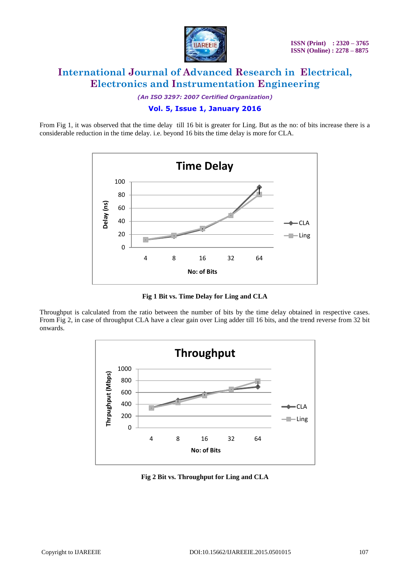

*(An ISO 3297: 2007 Certified Organization)*

## **Vol. 5, Issue 1, January 2016**

From Fig 1, it was observed that the time delay till 16 bit is greater for Ling. But as the no: of bits increase there is a considerable reduction in the time delay. i.e. beyond 16 bits the time delay is more for CLA.



**Fig 1 Bit vs. Time Delay for Ling and CLA**

Throughput is calculated from the ratio between the number of bits by the time delay obtained in respective cases. From Fig 2, in case of throughput CLA have a clear gain over Ling adder till 16 bits, and the trend reverse from 32 bit onwards.



**Fig 2 Bit vs. Throughput for Ling and CLA**